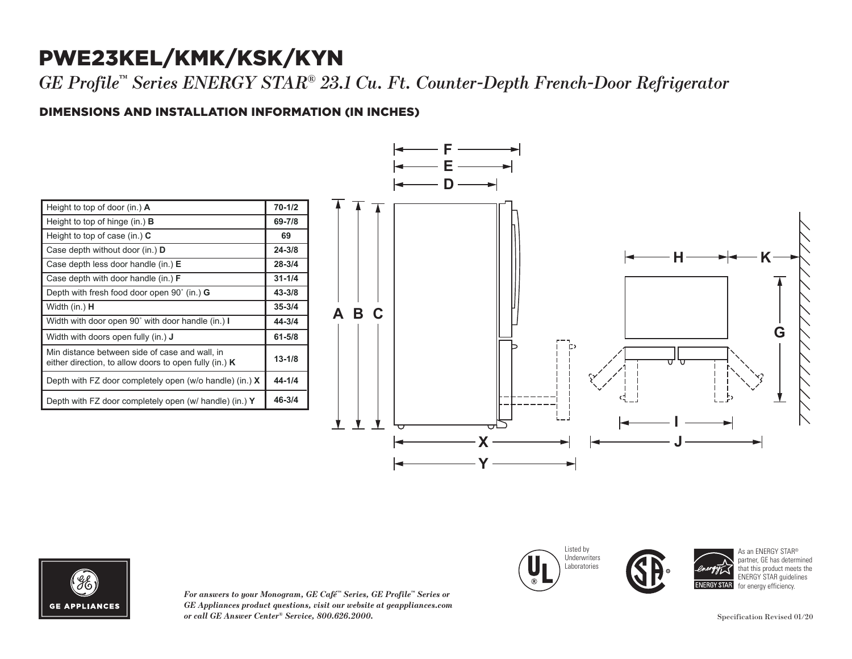## PWE23KEL/KMK/KSK/KYN

*GE Profile™ Series ENERGY STAR® 23.1 Cu. Ft. Counter-Depth French-Door Refrigerator*

### DIMENSIONS AND INSTALLATION INFORMATION (IN INCHES) **I**

| Height to top of door (in.) $\bf{A}$                                                                     | $70 - 1/2$ |
|----------------------------------------------------------------------------------------------------------|------------|
| Height to top of hinge (in.) $\bf{B}$                                                                    | 69-7/8     |
| Height to top of case (in.) $C$                                                                          | 69         |
| Case depth without door (in.) <b>D</b>                                                                   | $24 - 3/8$ |
| Case depth less door handle (in.) E                                                                      | $28 - 3/4$ |
| Case depth with door handle (in.) <b>F</b>                                                               | $31 - 1/4$ |
| Depth with fresh food door open 90° (in.) <b>G</b>                                                       | $43 - 3/8$ |
| Width (in.) <b>H</b>                                                                                     | $35 - 3/4$ |
| Width with door open 90° with door handle (in.) I                                                        | $44 - 3/4$ |
| Width with doors open fully (in.) <b>J</b>                                                               | 61-5/8     |
| Min distance between side of case and wall, in<br>either direction, to allow doors to open fully (in.) K | $13 - 1/8$ |
| Depth with FZ door completely open (w/o handle) (in.) $X$                                                | $44 - 1/4$ |
| Depth with FZ door completely open (w/ handle) (in.) $Y$                                                 | $46 - 3/4$ |





*For answers to your Monogram, GE Café™ Series, GE Profile™ Series or GE Appliances product questions, visit our website at geappliances.com or call GE Answer Center® Service, 800.626.2000.* Specification Revised 01/20

Listed by Underwriters Laboratories Case depth without door (in.) **D** Case depth less door handle (in.) **E** Case depth with door handle (in.) **F** Depth with fresh food door open 90˚ (in.) **G**





As an ENERGY STAR® partner, GE has determined that this product meets the ENERGY STAR guidelines for energy efficiency.